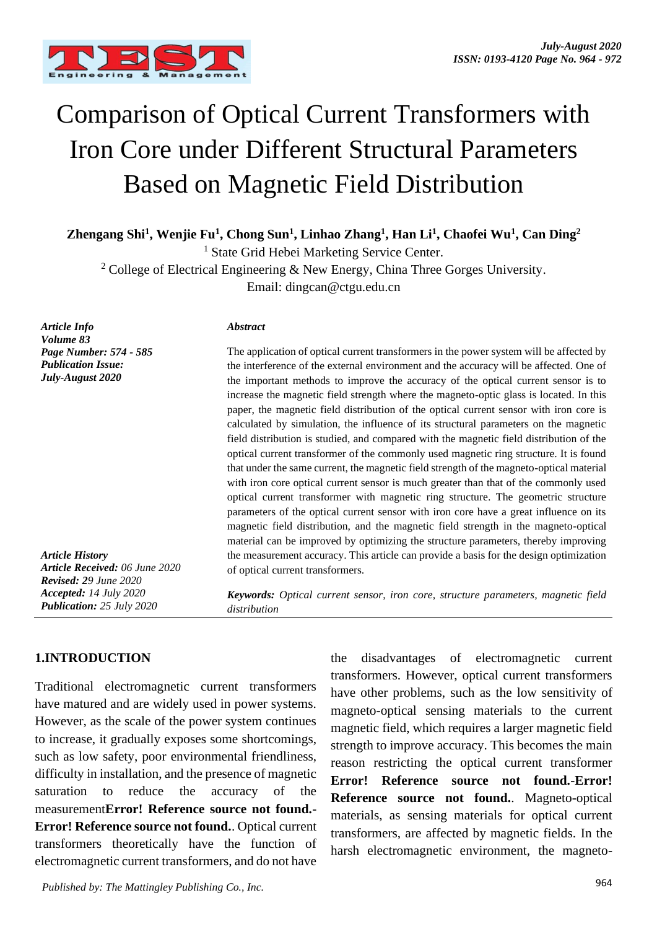

# Comparison of Optical Current Transformers with Iron Core under Different Structural Parameters Based on Magnetic Field Distribution

**Zhengang Shi<sup>1</sup> , Wenjie Fu<sup>1</sup> , Chong Sun<sup>1</sup> , Linhao Zhang<sup>1</sup> , Han Li<sup>1</sup> , Chaofei Wu<sup>1</sup> , Can Ding<sup>2</sup>**

<sup>1</sup> State Grid Hebei Marketing Service Center.

<sup>2</sup> College of Electrical Engineering & New Energy, China Three Gorges University.

Email: dingcan@ctgu.edu.cn

*Article Info Volume 83 Page Number: 574 - 585 Publication Issue: July-August 2020*

*Article History Article Received: 06 June 2020 Revised: 29 June 2020 Accepted: 14 July 2020 Publication: 25 July 2020*

#### *Abstract*

The application of optical current transformers in the power system will be affected by the interference of the external environment and the accuracy will be affected. One of the important methods to improve the accuracy of the optical current sensor is to increase the magnetic field strength where the magneto-optic glass is located. In this paper, the magnetic field distribution of the optical current sensor with iron core is calculated by simulation, the influence of its structural parameters on the magnetic field distribution is studied, and compared with the magnetic field distribution of the optical current transformer of the commonly used magnetic ring structure. It is found that under the same current, the magnetic field strength of the magneto-optical material with iron core optical current sensor is much greater than that of the commonly used optical current transformer with magnetic ring structure. The geometric structure parameters of the optical current sensor with iron core have a great influence on its magnetic field distribution, and the magnetic field strength in the magneto-optical material can be improved by optimizing the structure parameters, thereby improving the measurement accuracy. This article can provide a basis for the design optimization of optical current transformers.

*Keywords: Optical current sensor, iron core, structure parameters, magnetic field distribution*

## **1.INTRODUCTION**

Traditional electromagnetic current transformers have matured and are widely used in power systems. However, as the scale of the power system continues to increase, it gradually exposes some shortcomings, such as low safety, poor environmental friendliness, difficulty in installation, and the presence of magnetic saturation to reduce the accuracy of the measurement**Error! Reference source not found.**- **Error! Reference source not found.**. Optical current transformers theoretically have the function of electromagnetic current transformers, and do not have

the disadvantages of electromagnetic current transformers. However, optical current transformers have other problems, such as the low sensitivity of magneto-optical sensing materials to the current magnetic field, which requires a larger magnetic field strength to improve accuracy. This becomes the main reason restricting the optical current transformer **Error! Reference source not found.**-**Error! Reference source not found.**. Magneto-optical materials, as sensing materials for optical current transformers, are affected by magnetic fields. In the harsh electromagnetic environment, the magneto-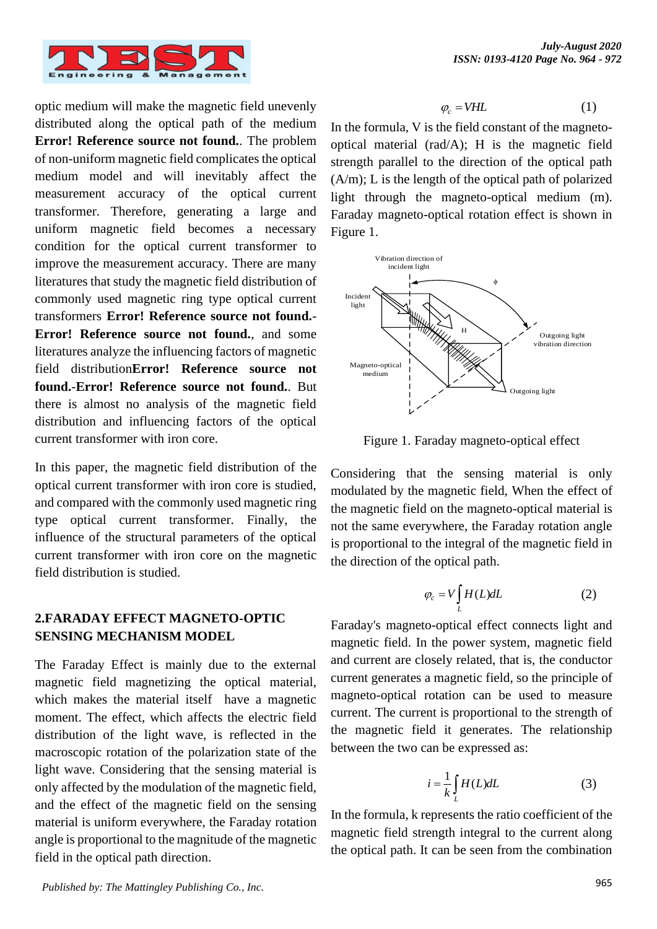

optic medium will make the magnetic field unevenly distributed along the optical path of the medium **Error! Reference source not found.**. The problem of non-uniform magnetic field complicates the optical medium model and will inevitably affect the measurement accuracy of the optical current transformer. Therefore, generating a large and uniform magnetic field becomes a necessary condition for the optical current transformer to improve the measurement accuracy. There are many literatures that study the magnetic field distribution of commonly used magnetic ring type optical current transformers **Error! Reference source not found.**- **Error! Reference source not found.**, and some literatures analyze the influencing factors of magnetic field distribution**Error! Reference source not found.**-**Error! Reference source not found.**. But there is almost no analysis of the magnetic field distribution and influencing factors of the optical current transformer with iron core.

In this paper, the magnetic field distribution of the optical current transformer with iron core is studied, and compared with the commonly used magnetic ring type optical current transformer. Finally, the influence of the structural parameters of the optical current transformer with iron core on the magnetic field distribution is studied.

## **2.FARADAY EFFECT MAGNETO-OPTIC SENSING MECHANISM MODEL**

The Faraday Effect is mainly due to the external magnetic field magnetizing the optical material, which makes the material itself have a magnetic moment. The effect, which affects the electric field distribution of the light wave, is reflected in the macroscopic rotation of the polarization state of the light wave. Considering that the sensing material is only affected by the modulation of the magnetic field, and the effect of the magnetic field on the sensing material is uniform everywhere, the Faraday rotation angle is proportional to the magnitude of the magnetic field in the optical path direction.

$$
\varphi_c = VHL \tag{1}
$$

In the formula, V is the field constant of the magnetooptical material (rad/A); H is the magnetic field strength parallel to the direction of the optical path  $(A/m)$ : L is the length of the optical path of polarized light through the magneto-optical medium (m). Faraday magneto-optical rotation effect is shown in [Figure](#page-1-0) 1.



<span id="page-1-0"></span>Figure 1. Faraday magneto-optical effect

Considering that the sensing material is only modulated by the magnetic field, When the effect of the magnetic field on the magneto-optical material is not the same everywhere, the Faraday rotation angle is proportional to the integral of the magnetic field in the direction of the optical path.

<span id="page-1-1"></span>
$$
\varphi_c = V \int_L H(L) dL \tag{2}
$$

Faraday's magneto-optical effect connects light and magnetic field. In the power system, magnetic field and current are closely related, that is, the conductor current generates a magnetic field, so the principle of magneto-optical rotation can be used to measure current. The current is proportional to the strength of the magnetic field it generates. The relationship between the two can be expressed as:

<span id="page-1-2"></span>
$$
i = \frac{1}{k} \int_{L} H(L) dL
$$
 (3)

In the formula, k represents the ratio coefficient of the magnetic field strength integral to the current along the optical path. It can be seen from the combination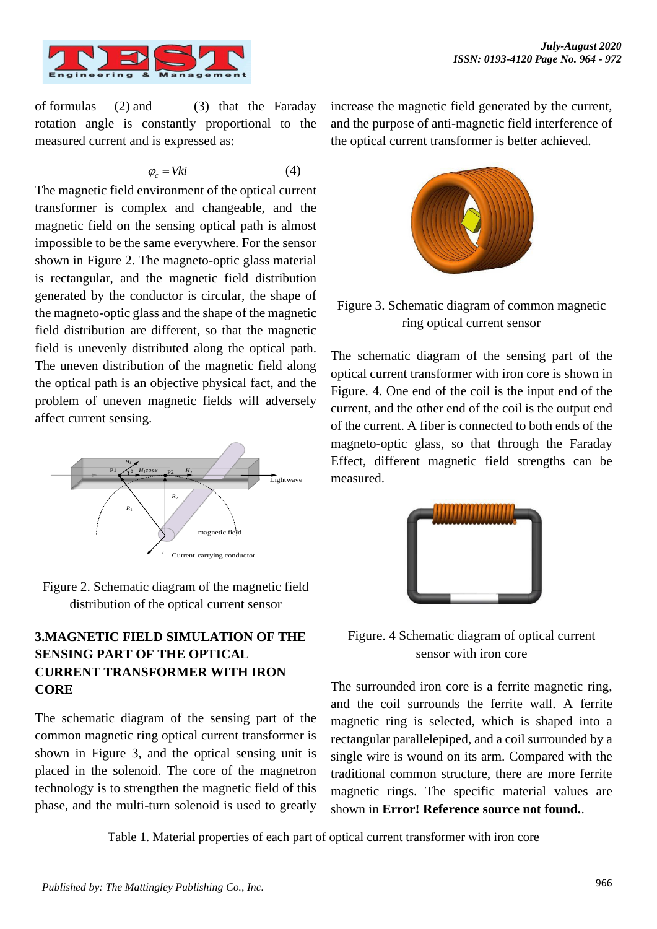

of formulas [\(2\)](#page-1-1) and [\(3\)](#page-1-2) that the Faraday rotation angle is constantly proportional to the measured current and is expressed as:

$$
\varphi_c = Vk i \tag{4}
$$

The magnetic field environment of the optical current transformer is complex and changeable, and the magnetic field on the sensing optical path is almost impossible to be the same everywhere. For the sensor shown in [Figure 2.](#page-2-0) The magneto-optic glass material is rectangular, and the magnetic field distribution generated by the conductor is circular, the shape of the magneto-optic glass and the shape of the magnetic field distribution are different, so that the magnetic field is unevenly distributed along the optical path. The uneven distribution of the magnetic field along the optical path is an objective physical fact, and the problem of uneven magnetic fields will adversely affect current sensing.



<span id="page-2-0"></span>

# **3.MAGNETIC FIELD SIMULATION OF THE SENSING PART OF THE OPTICAL CURRENT TRANSFORMER WITH IRON CORE**

The schematic diagram of the sensing part of the common magnetic ring optical current transformer is shown in [Figure 3,](#page-2-1) and the optical sensing unit is placed in the solenoid. The core of the magnetron technology is to strengthen the magnetic field of this phase, and the multi-turn solenoid is used to greatly increase the magnetic field generated by the current, and the purpose of anti-magnetic field interference of the optical current transformer is better achieved.



Figure 3. Schematic diagram of common magnetic ring optical current sensor

<span id="page-2-1"></span>The schematic diagram of the sensing part of the optical current transformer with iron core is shown in [Figure. 4.](#page-2-2) One end of the coil is the input end of the current, and the other end of the coil is the output end of the current. A fiber is connected to both ends of the magneto-optic glass, so that through the Faraday Effect, different magnetic field strengths can be measured.



Figure. 4 Schematic diagram of optical current sensor with iron core

<span id="page-2-2"></span>The surrounded iron core is a ferrite magnetic ring, and the coil surrounds the ferrite wall. A ferrite magnetic ring is selected, which is shaped into a rectangular parallelepiped, and a coil surrounded by a single wire is wound on its arm. Compared with the traditional common structure, there are more ferrite magnetic rings. The specific material values are shown in **Error! Reference source not found.**.

Table 1. Material properties of each part of optical current transformer with iron core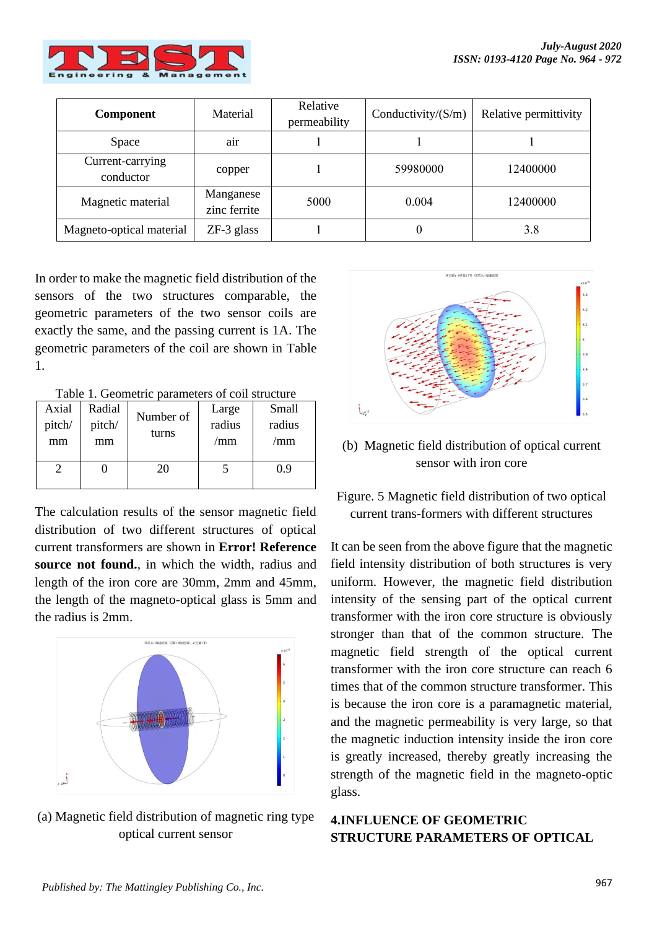

| Component                     | Material                  | Relative<br>permeability | Conductivity/ $(S/m)$ | Relative permittivity |
|-------------------------------|---------------------------|--------------------------|-----------------------|-----------------------|
| Space                         | air                       |                          |                       |                       |
| Current-carrying<br>conductor | copper                    |                          | 59980000              | 12400000              |
| Magnetic material             | Manganese<br>zinc ferrite | 5000                     | 0.004                 | 12400000              |
| Magneto-optical material      | $ZF-3$ glass              |                          |                       | 3.8                   |

In order to make the magnetic field distribution of the sensors of the two structures comparable, the geometric parameters of the two sensor coils are exactly the same, and the passing current is 1A. The geometric parameters of the coil are shown in [Table](#page-3-0)  [1.](#page-3-0)

Table 1. Geometric parameters of coil structure

<span id="page-3-0"></span>

| Axial<br>pitch/<br>mm | Radial<br>pitch/<br>mm | Number of<br>turns | Large<br>radius<br>/mm | Small<br>radius<br>/mm |
|-----------------------|------------------------|--------------------|------------------------|------------------------|
|                       |                        | 20                 |                        | 0.9                    |

The calculation results of the sensor magnetic field distribution of two different structures of optical current transformers are shown in **Error! Reference source not found.**, in which the width, radius and length of the iron core are 30mm, 2mm and 45mm, the length of the magneto-optical glass is 5mm and the radius is 2mm.



(a) Magnetic field distribution of magnetic ring type optical current sensor



(b) Magnetic field distribution of optical current sensor with iron core

Figure. 5 Magnetic field distribution of two optical current trans-formers with different structures

It can be seen from the above figure that the magnetic field intensity distribution of both structures is very uniform. However, the magnetic field distribution intensity of the sensing part of the optical current transformer with the iron core structure is obviously stronger than that of the common structure. The magnetic field strength of the optical current transformer with the iron core structure can reach 6 times that of the common structure transformer. This is because the iron core is a paramagnetic material, and the magnetic permeability is very large, so that the magnetic induction intensity inside the iron core is greatly increased, thereby greatly increasing the strength of the magnetic field in the magneto-optic glass.

## **4.INFLUENCE OF GEOMETRIC STRUCTURE PARAMETERS OF OPTICAL**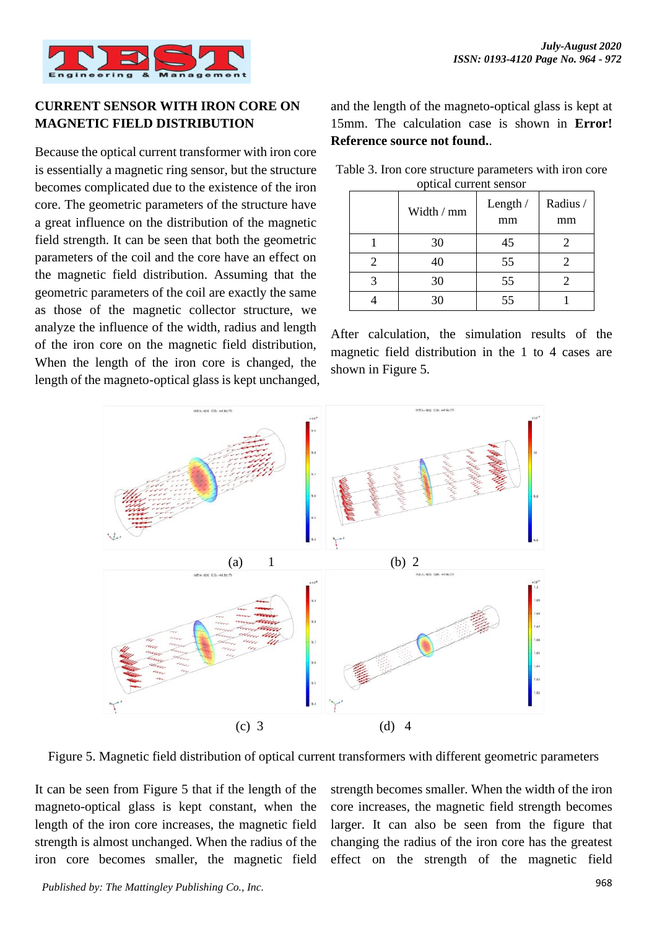

## **CURRENT SENSOR WITH IRON CORE ON MAGNETIC FIELD DISTRIBUTION**

Because the optical current transformer with iron core is essentially a magnetic ring sensor, but the structure becomes complicated due to the existence of the iron core. The geometric parameters of the structure have a great influence on the distribution of the magnetic field strength. It can be seen that both the geometric parameters of the coil and the core have an effect on the magnetic field distribution. Assuming that the geometric parameters of the coil are exactly the same as those of the magnetic collector structure, we analyze the influence of the width, radius and length of the iron core on the magnetic field distribution, When the length of the iron core is changed, the length of the magneto-optical glass is kept unchanged, and the length of the magneto-optical glass is kept at 15mm. The calculation case is shown in **Error! Reference source not found.**.

|   | Width / mm | Length $/$<br>mm | Radius /<br>mm |
|---|------------|------------------|----------------|
|   | 30         | 45               |                |
| 2 | 40         | 55               |                |
|   | 30         | 55               |                |
|   | 30         | 55               |                |

Table 3. Iron core structure parameters with iron core optical current sensor

After calculation, the simulation results of the magnetic field distribution in the 1 to 4 cases are shown in [Figure 5.](#page-4-0)



<span id="page-4-0"></span>Figure 5. Magnetic field distribution of optical current transformers with different geometric parameters

It can be seen from [Figure 5](#page-4-0) that if the length of the magneto-optical glass is kept constant, when the length of the iron core increases, the magnetic field strength is almost unchanged. When the radius of the iron core becomes smaller, the magnetic field strength becomes smaller. When the width of the iron core increases, the magnetic field strength becomes larger. It can also be seen from the figure that changing the radius of the iron core has the greatest effect on the strength of the magnetic field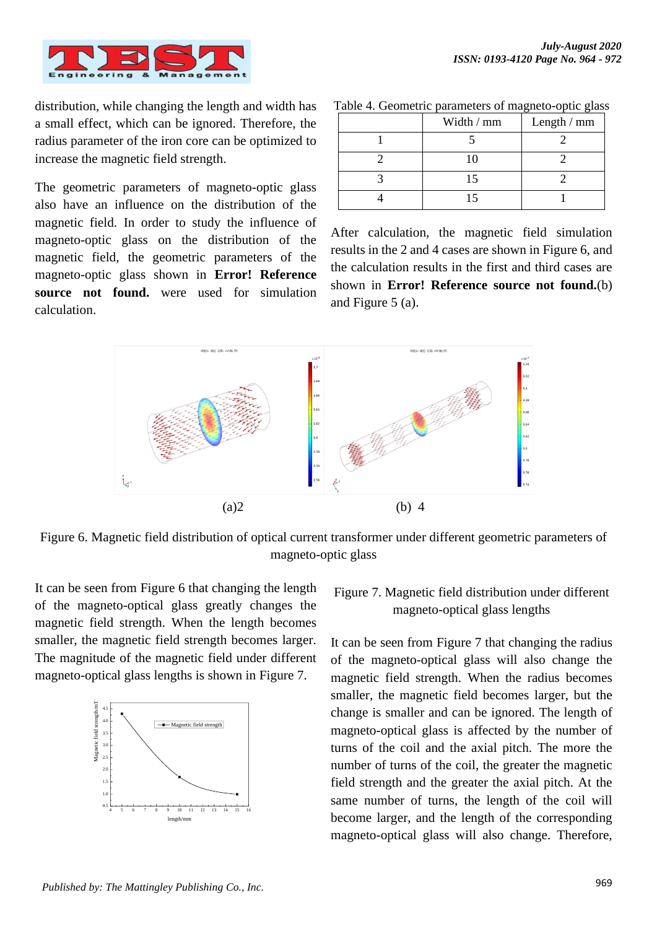

distribution, while changing the length and width has a small effect, which can be ignored. Therefore, the radius parameter of the iron core can be optimized to increase the magnetic field strength.

The geometric parameters of magneto-optic glass also have an influence on the distribution of the magnetic field. In order to study the influence of magneto-optic glass on the distribution of the magnetic field, the geometric parameters of the magneto-optic glass shown in **Error! Reference source not found.** were used for simulation calculation.

| Width / mm | Length / mm |
|------------|-------------|
|            |             |
| 10         |             |
| 15         |             |
|            |             |

Table 4. Geometric parameters of magneto-optic glass

After calculation, the magnetic field simulation results in the 2 and 4 cases are shown in [Figure](#page-5-0) 6, and the calculation results in the first and third cases are shown in **Error! Reference source not found.**(b) and [Figure 5](#page-4-0) (a).



<span id="page-5-0"></span>Figure 6. Magnetic field distribution of optical current transformer under different geometric parameters of magneto-optic glass

It can be seen from [Figure](#page-5-0) 6 that changing the length of the magneto-optical glass greatly changes the magnetic field strength. When the length becomes smaller, the magnetic field strength becomes larger. The magnitude of the magnetic field under different magneto-optical glass lengths is shown in [Figure 7.](#page-5-1)



## <span id="page-5-1"></span>Figure 7. Magnetic field distribution under different magneto-optical glass lengths

It can be seen from [Figure 7](#page-5-1) that changing the radius of the magneto-optical glass will also change the magnetic field strength. When the radius becomes smaller, the magnetic field becomes larger, but the change is smaller and can be ignored. The length of magneto-optical glass is affected by the number of turns of the coil and the axial pitch. The more the number of turns of the coil, the greater the magnetic field strength and the greater the axial pitch. At the same number of turns, the length of the coil will become larger, and the length of the corresponding magneto-optical glass will also change. Therefore,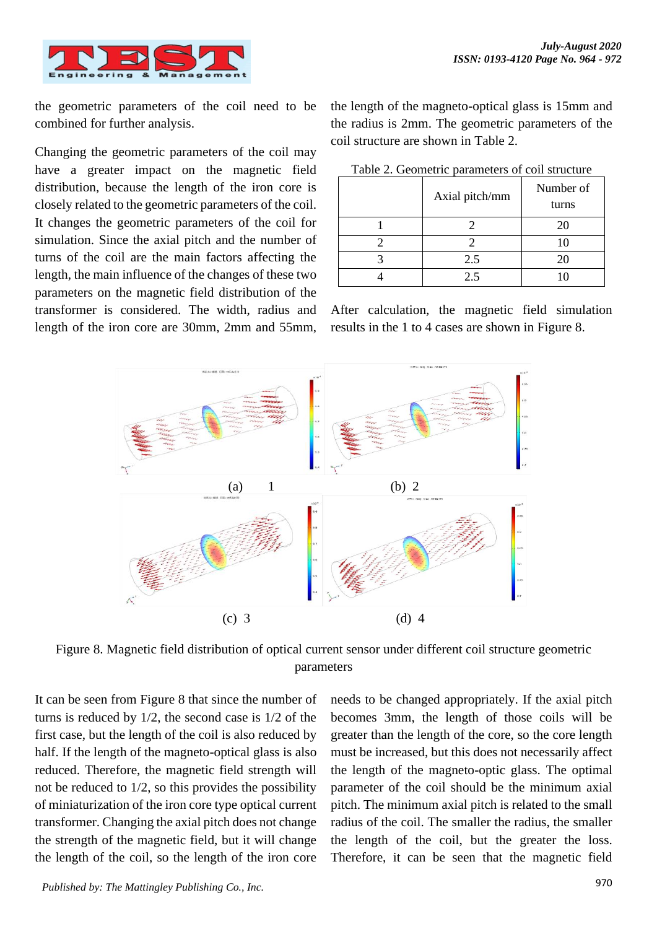

the geometric parameters of the coil need to be combined for further analysis.

Changing the geometric parameters of the coil may have a greater impact on the magnetic field distribution, because the length of the iron core is closely related to the geometric parameters of the coil. It changes the geometric parameters of the coil for simulation. Since the axial pitch and the number of turns of the coil are the main factors affecting the length, the main influence of the changes of these two parameters on the magnetic field distribution of the transformer is considered. The width, radius and length of the iron core are 30mm, 2mm and 55mm, the length of the magneto-optical glass is 15mm and the radius is 2mm. The geometric parameters of the coil structure are shown in [Table 2.](#page-6-0)

<span id="page-6-0"></span>

| Axial pitch/mm | Number of<br>turns |
|----------------|--------------------|
|                | 20                 |
|                | 10                 |
| 2.5            | 20                 |
| 2.5            |                    |

After calculation, the magnetic field simulation results in the 1 to 4 cases are shown in [Figure](#page-6-1) 8.



<span id="page-6-1"></span>Figure 8. Magnetic field distribution of optical current sensor under different coil structure geometric parameters

It can be seen from [Figure](#page-6-1) 8 that since the number of turns is reduced by 1/2, the second case is 1/2 of the first case, but the length of the coil is also reduced by half. If the length of the magneto-optical glass is also reduced. Therefore, the magnetic field strength will not be reduced to 1/2, so this provides the possibility of miniaturization of the iron core type optical current transformer. Changing the axial pitch does not change the strength of the magnetic field, but it will change the length of the coil, so the length of the iron core

needs to be changed appropriately. If the axial pitch becomes 3mm, the length of those coils will be greater than the length of the core, so the core length must be increased, but this does not necessarily affect the length of the magneto-optic glass. The optimal parameter of the coil should be the minimum axial pitch. The minimum axial pitch is related to the small radius of the coil. The smaller the radius, the smaller the length of the coil, but the greater the loss. Therefore, it can be seen that the magnetic field

970 *Published by: The Mattingley Publishing Co., Inc.*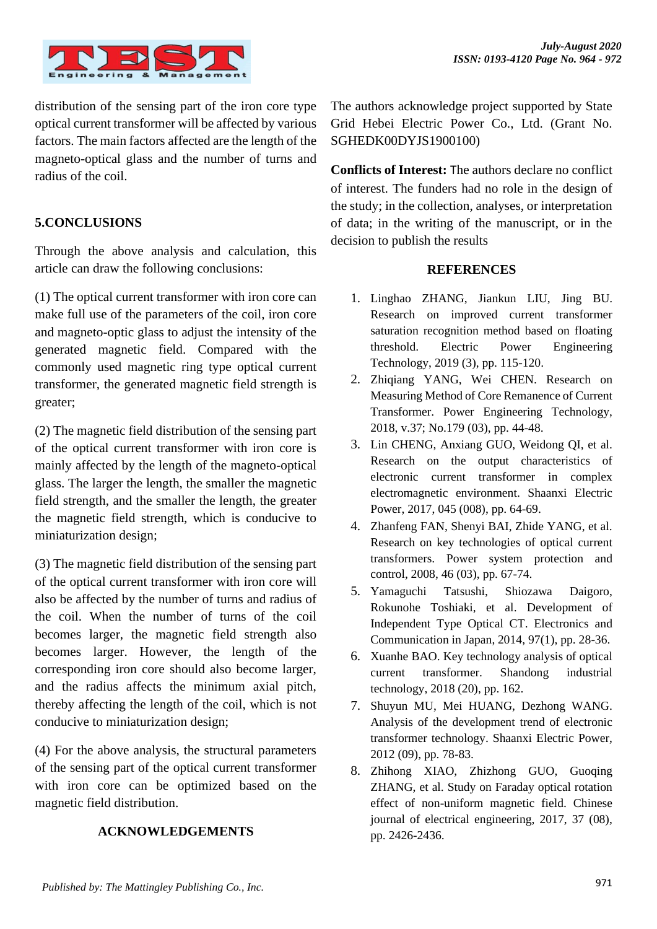

distribution of the sensing part of the iron core type optical current transformer will be affected by various factors. The main factors affected are the length of the magneto-optical glass and the number of turns and radius of the coil.

## **5.CONCLUSIONS**

Through the above analysis and calculation, this article can draw the following conclusions:

(1) The optical current transformer with iron core can make full use of the parameters of the coil, iron core and magneto-optic glass to adjust the intensity of the generated magnetic field. Compared with the commonly used magnetic ring type optical current transformer, the generated magnetic field strength is greater;

(2) The magnetic field distribution of the sensing part of the optical current transformer with iron core is mainly affected by the length of the magneto-optical glass. The larger the length, the smaller the magnetic field strength, and the smaller the length, the greater the magnetic field strength, which is conducive to miniaturization design;

(3) The magnetic field distribution of the sensing part of the optical current transformer with iron core will also be affected by the number of turns and radius of the coil. When the number of turns of the coil becomes larger, the magnetic field strength also becomes larger. However, the length of the corresponding iron core should also become larger, and the radius affects the minimum axial pitch, thereby affecting the length of the coil, which is not conducive to miniaturization design;

(4) For the above analysis, the structural parameters of the sensing part of the optical current transformer with iron core can be optimized based on the magnetic field distribution.

#### **ACKNOWLEDGEMENTS**

The authors acknowledge project supported by State Grid Hebei Electric Power Co., Ltd. (Grant No. SGHEDK00DYJS1900100)

**Conflicts of Interest:** The authors declare no conflict of interest. The funders had no role in the design of the study; in the collection, analyses, or interpretation of data; in the writing of the manuscript, or in the decision to publish the results

#### **REFERENCES**

- 1. Linghao ZHANG, Jiankun LIU, Jing BU. Research on improved current transformer saturation recognition method based on floating threshold. Electric Power Engineering Technology, 2019 (3), pp. 115-120.
- 2. Zhiqiang YANG, Wei CHEN. Research on Measuring Method of Core Remanence of Current Transformer. Power Engineering Technology, 2018, v.37; No.179 (03), pp. 44-48.
- 3. Lin CHENG, Anxiang GUO, Weidong QI, et al. Research on the output characteristics of electronic current transformer in complex electromagnetic environment. Shaanxi Electric Power, 2017, 045 (008), pp. 64-69.
- 4. Zhanfeng FAN, Shenyi BAI, Zhide YANG, et al. Research on key technologies of optical current transformers. Power system protection and control, 2008, 46 (03), pp. 67-74.
- 5. Yamaguchi Tatsushi, Shiozawa Daigoro, Rokunohe Toshiaki, et al. Development of Independent Type Optical CT. Electronics and Communication in Japan, 2014, 97(1), pp. 28-36.
- 6. Xuanhe BAO. Key technology analysis of optical current transformer. Shandong industrial technology, 2018 (20), pp. 162.
- 7. Shuyun MU, Mei HUANG, Dezhong WANG. Analysis of the development trend of electronic transformer technology. Shaanxi Electric Power, 2012 (09), pp. 78-83.
- 8. Zhihong XIAO, Zhizhong GUO, Guoqing ZHANG, et al. Study on Faraday optical rotation effect of non-uniform magnetic field. Chinese journal of electrical engineering, 2017, 37 (08), pp. 2426-2436.